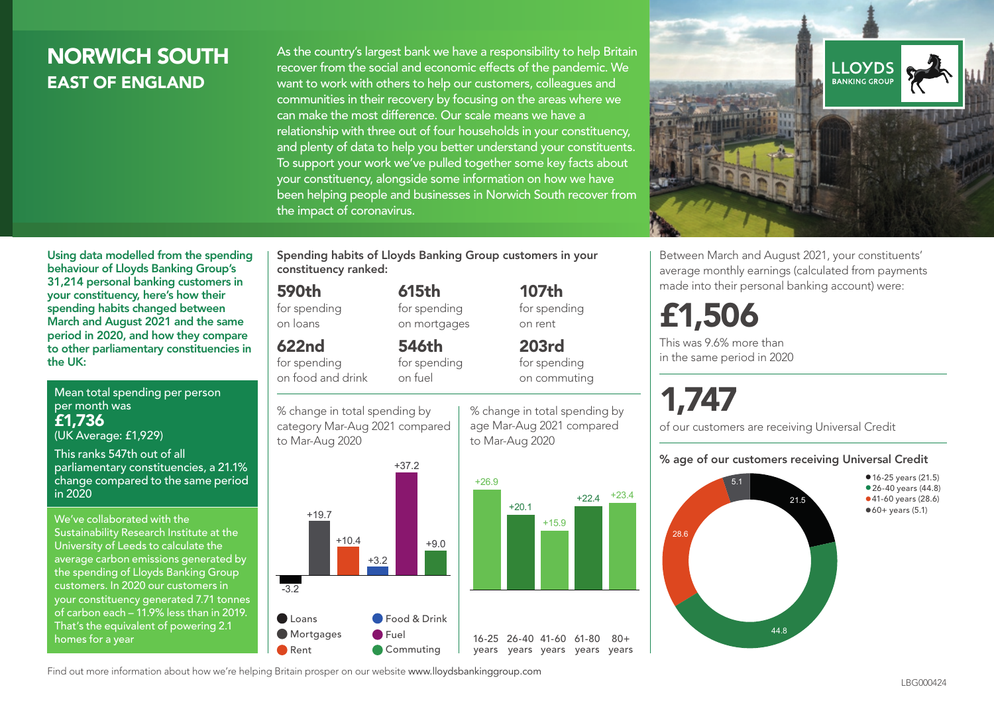### NORWICH SOUTH EAST OF ENGLAND

As the country's largest bank we have a responsibility to help Britain recover from the social and economic effects of the pandemic. We want to work with others to help our customers, colleagues and communities in their recovery by focusing on the areas where we can make the most difference. Our scale means we have a relationship with three out of four households in your constituency, and plenty of data to help you better understand your constituents. To support your work we've pulled together some key facts about your constituency, alongside some information on how we have been helping people and businesses in Norwich South recover from the impact of coronavirus.



Using data modelled from the spending behaviour of Lloyds Banking Group's 31,214 personal banking customers in your constituency, here's how their spending habits changed between March and August 2021 and the same period in 2020, and how they compare to other parliamentary constituencies in the UK:

Mean total spending per person per month was £1,736 (UK Average: £1,929)

This ranks 547th out of all parliamentary constituencies, a 21.1% change compared to the same period in 2020

We've collaborated with the Sustainability Research Institute at the University of Leeds to calculate the average carbon emissions generated by the spending of Lloyds Banking Group customers. In 2020 our customers in your constituency generated 7.71 tonnes of carbon each – 11.9% less than in 2019. That's the equivalent of powering 2.1 homes for a year

Spending habits of Lloyds Banking Group customers in your constituency ranked:

> 615th for spending on mortgages

546th for spending

#### 590th

for spending on loans

#### 622nd

for spending on food and drink

on fuel





107th for spending on rent

203rd for spending on commuting

% change in total spending by age Mar-Aug 2021 compared to Mar-Aug 2020

+15.9

 $80 +$ 



Between March and August 2021, your constituents' average monthly earnings (calculated from payments made into their personal banking account) were:

## £1,506

This was 9.6% more than in the same period in 2020

# 1,747

of our customers are receiving Universal Credit

#### % age of our customers receiving Universal Credit



Find out more information about how we're helping Britain prosper on our website www.lloydsbankinggroup.com